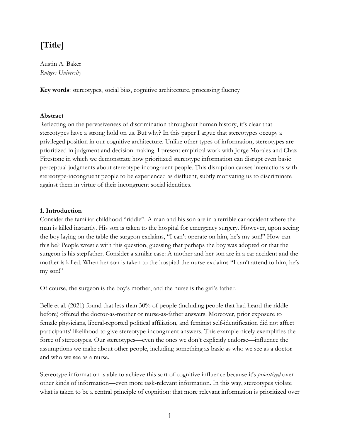# **[Title]**

Austin A. Baker *Rutgers University*

**Key words**: stereotypes, social bias, cognitive architecture, processing fluency

### **Abstract**

Reflecting on the pervasiveness of discrimination throughout human history, it's clear that stereotypes have a strong hold on us. But why? In this paper I argue that stereotypes occupy a privileged position in our cognitive architecture. Unlike other types of information, stereotypes are prioritized in judgment and decision-making. I present empirical work with Jorge Morales and Chaz Firestone in which we demonstrate how prioritized stereotype information can disrupt even basic perceptual judgments about stereotype-incongruent people. This disruption causes interactions with stereotype-incongruent people to be experienced as disfluent, subtly motivating us to discriminate against them in virtue of their incongruent social identities.

#### **1. Introduction**

Consider the familiar childhood "riddle". A man and his son are in a terrible car accident where the man is killed instantly. His son is taken to the hospital for emergency surgery. However, upon seeing the boy laying on the table the surgeon exclaims, "I can't operate on him, he's my son!" How can this be? People wrestle with this question, guessing that perhaps the boy was adopted or that the surgeon is his stepfather. Consider a similar case: A mother and her son are in a car accident and the mother is killed. When her son is taken to the hospital the nurse exclaims "I can't attend to him, he's my son!"

Of course, the surgeon is the boy's mother, and the nurse is the girl's father.

Belle et al. (2021) found that less than 30% of people (including people that had heard the riddle before) offered the doctor-as-mother or nurse-as-father answers. Moreover, prior exposure to female physicians, liberal-reported political affiliation, and feminist self-identification did not affect participants' likelihood to give stereotype-incongruent answers. This example nicely exemplifies the force of stereotypes. Our stereotypes—even the ones we don't explicitly endorse—influence the assumptions we make about other people, including something as basic as who we see as a doctor and who we see as a nurse.

Stereotype information is able to achieve this sort of cognitive influence because it's *prioritized* over other kinds of information—even more task-relevant information. In this way, stereotypes violate what is taken to be a central principle of cognition: that more relevant information is prioritized over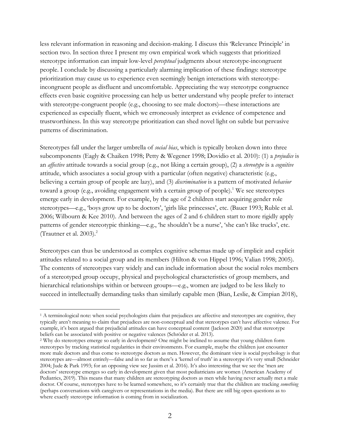less relevant information in reasoning and decision-making. I discuss this 'Relevance Principle' in section two. In section three I present my own empirical work which suggests that prioritized stereotype information can impair low-level *perceptual* judgments about stereotype-incongruent people. I conclude by discussing a particularly alarming implication of these findings: stereotype prioritization may cause us to experience even seemingly benign interactions with stereotypeincongruent people as disfluent and uncomfortable. Appreciating the way stereotype congruence effects even basic cognitive processing can help us better understand why people prefer to interact with stereotype-congruent people (e.g., choosing to see male doctors)—these interactions are experienced as especially fluent, which we erroneously interpret as evidence of competence and trustworthiness. In this way stereotype prioritization can shed novel light on subtle but pervasive patterns of discrimination.

Stereotypes fall under the larger umbrella of *social bias*, which is typically broken down into three subcomponents (Eagly & Chaiken 1998; Petty & Wegener 1998; Dovidio et al. 2010): (1) a *prejudice* is an *affective* attitude towards a social group (e.g., not liking a certain group), (2) a *stereotype* is a *cognitive* attitude, which associates a social group with a particular (often negative) characteristic (e.g., believing a certain group of people are lazy), and (3) *discrimination* is a pattern of motivated *behavior* toward a group (e.g., avoiding engagement with a certain group of people).<sup>1</sup> We see stereotypes emerge early in development. For example, by the age of 2 children start acquiring gender role stereotypes—e.g., 'boys grow up to be doctors', 'girls like princesses', etc. (Bauer 1993; Ruble et al. 2006; Wilbourn & Kee 2010). And between the ages of 2 and 6 children start to more rigidly apply patterns of gender stereotypic thinking—e.g., 'he shouldn't be a nurse', 'she can't like trucks', etc. (Trautner et al. 2003). $^{2}$ 

Stereotypes can thus be understood as complex cognitive schemas made up of implicit and explicit attitudes related to a social group and its members (Hilton & von Hippel 1996; Valian 1998; 2005). The contents of stereotypes vary widely and can include information about the social roles members of a stereotyped group occupy, physical and psychological characteristics of group members, and hierarchical relationships within or between groups—e.g., women are judged to be less likely to succeed in intellectually demanding tasks than similarly capable men (Bian, Leslie, & Cimpian 2018),

<sup>&</sup>lt;sup>1</sup> A terminological note: when social psychologists claim that prejudices are affective and stereotypes are cognitive, they typically aren't meaning to claim that prejudices are non-conceptual and that stereotypes can't have affective valence. For example, it's been argued that prejudicial attitudes can have conceptual content (Jackson 2020) and that stereotype beliefs can be associated with positive or negative valences (Schröder et al. 2013).

<sup>2</sup> Why do stereotypes emerge so early in development? One might be inclined to assume that young children form stereotypes by tracking statistical regularities in their environments. For example, maybe the children just encounter more male doctors and thus come to stereotype doctors as men. However, the dominant view is social psychology is that stereotypes are—almost entirely—false and in so far as there's a 'kernel of truth' in a stereotype it's very small (Schneider 2004; Jude & Park 1993; for an opposing view see Jussim et al. 2016). It's also interesting that we see the 'men are doctors' stereotype emerges so early in development given that most pediatricians are women (American Academy of Pediatrics, 2019). This means that many children are stereotyping doctors as men while having never actually met a male doctor. Of course, stereotypes have to be learned somewhere, so it's certainly true that the children are tracking *something* (perhaps conversations with caregivers or representations in the media). But there are still big open questions as to where exactly stereotype information is coming from in socialization.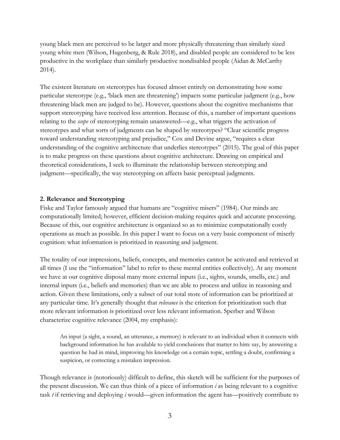young black men are perceived to be larger and more physically threatening than similarly sized young white men (Wilson, Hugenberg, & Rule 2018), and disabled people are considered to be less productive in the workplace than similarly productive nondisabled people (Aidan & McCarthy 2014).

The existent literature on stereotypes has focused almost entirely on demonstrating how some particular stereotype (e.g., 'black men are threatening') impacts some particular judgment (e.g., how threatening black men are judged to be). However, questions about the cognitive mechanisms that support stereotyping have received less attention. Because of this, a number of important questions relating to the *scope* of stereotyping remain unanswered—e.g., what triggers the activation of stereotypes and what sorts of judgments can be shaped by stereotypes? "Clear scientific progress toward understanding stereotyping and prejudice," Cox and Devine argue, "requires a clear understanding of the cognitive architecture that underlies stereotypes" (2015). The goal of this paper is to make progress on these questions about cognitive architecture. Drawing on empirical and theoretical considerations, I seek to illuminate the relationship between stereotyping and judgment—specifically, the way stereotyping on affects basic perceptual judgments.

#### **2. Relevance and Stereotyping**

Fiske and Taylor famously argued that humans are "cognitive misers" (1984). Our minds are computationally limited; however, efficient decision-making requires quick and accurate processing. Because of this, our cognitive architecture is organized so as to minimize computationally costly operations as much as possible. In this paper I want to focus on a very basic component of miserly cognition: what information is prioritized in reasoning and judgment.

The totality of our impressions, beliefs, concepts, and memories cannot be activated and retrieved at all times (I use the "information" label to refer to these mental entities collectively). At any moment we have at our cognitive disposal many more external inputs (i.e., sights, sounds, smells, etc.) and internal inputs (i.e., beliefs and memories) than we are able to process and utilize in reasoning and action. Given these limitations, only a subset of our total store of information can be prioritized at any particular time. It's generally thought that *relevance* is the criterion for prioritization such that more relevant information is prioritized over less relevant information. Sperber and Wilson characterize cognitive relevance (2004, my emphasis):

An input (a sight, a sound, an utterance, a memory) is relevant to an individual when it connects with background information he has available to yield conclusions that matter to him: say, by answering a question he had in mind, improving his knowledge on a certain topic, settling a doubt, confirming a suspicion, or correcting a mistaken impression.

Though relevance is (notoriously) difficult to define, this sketch will be sufficient for the purposes of the present discussion. We can thus think of a piece of information *i* as being relevant to a cognitive task *t* if retrieving and deploying *i* would—given information the agent has—positively contribute to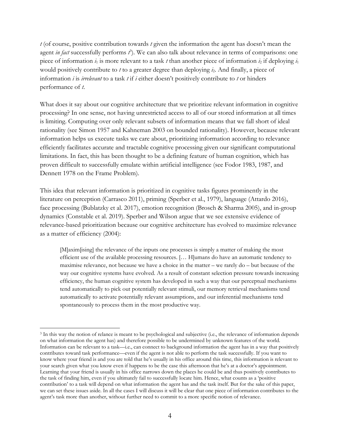*t* (of course, positive contribution towards *t* given the information the agent has doesn't mean the agent *in fact* successfully performs *t* 3 ). We can also talk about relevance in terms of comparisons: one piece of information  $i_1$  is more relevant to a task  $t$  than another piece of information  $i_2$  if deploying  $i_1$ would positively contribute to *t* to a greater degree than deploying *i*2. And finally, a piece of information *i* is *irrelevant* to a task *t* if *i* either doesn't positively contribute to *t* or hinders performance of *t*.

What does it say about our cognitive architecture that we prioritize relevant information in cognitive processing? In one sense, not having unrestricted access to all of our stored information at all times is limiting. Computing over only relevant subsets of information means that we fall short of ideal rationality (see Simon 1957 and Kahneman 2003 on bounded rationality). However, because relevant information helps us execute tasks we care about, prioritizing information according to relevance efficiently facilitates accurate and tractable cognitive processing given our significant computational limitations. In fact, this has been thought to be a defining feature of human cognition, which has proven difficult to successfully emulate within artificial intelligence (see Fodor 1983, 1987, and Dennett 1978 on the Frame Problem).

This idea that relevant information is prioritized in cognitive tasks figures prominently in the literature on perception (Carrasco 2011), priming (Sperber et al., 1979), language (Attardo 2016), face processing (Bublatzky et al. 2017), emotion recognition (Brosch & Sharma 2005), and in-group dynamics (Constable et al. 2019). Sperber and Wilson argue that we see extensive evidence of relevance-based prioritization because our cognitive architecture has evolved to maximize relevance as a matter of efficiency (2004):

[M]axim[ising] the relevance of the inputs one processes is simply a matter of making the most efficient use of the available processing resources. [… H]umans do have an automatic tendency to maximise relevance, not because we have a choice in the matter – we rarely do – but because of the way our cognitive systems have evolved. As a result of constant selection pressure towards increasing efficiency, the human cognitive system has developed in such a way that our perceptual mechanisms tend automatically to pick out potentially relevant stimuli, our memory retrieval mechanisms tend automatically to activate potentially relevant assumptions, and our inferential mechanisms tend spontaneously to process them in the most productive way.

<sup>3</sup> In this way the notion of relance is meant to be psychological and subjective (i.e., the relevance of information depends on what information the agent has) and therefore possible to be undermined by unknown features of the world. Information can be relevant to a task—i.e., can connect to background information the agent has in a way that positively contributes toward task performance—even if the agent is not able to perform the task successfully. If you want to know where your friend is and you are told that he's usually in his office around this time, this information is relevant to your search given what you know even if happens to be the case this afternoon that he's at a doctor's appointment. Learning that your friend is usually in his office narrows down the places he could be and thus positively contributes to the task of finding him, even if you ultimately fail to successfully locate him. Hence, what counts as a 'positive contribution' to a task will depend on what information the agent has and the task itself. But for the sake of this paper, we can set these issues aside. In all the cases I will discuss it will be clear that one piece of information contributes to the agent's task more than another, without further need to commit to a more specific notion of relevance.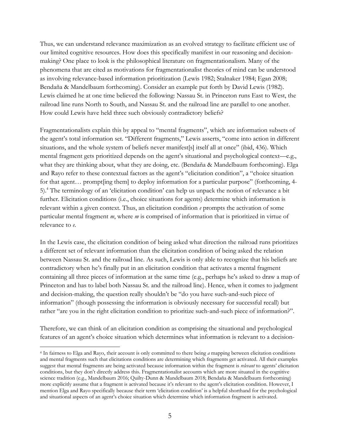Thus, we can understand relevance maximization as an evolved strategy to facilitate efficient use of our limited cognitive resources. How does this specifically manifest in our reasoning and decisionmaking? One place to look is the philosophical literature on fragmentationalism. Many of the phenomena that are cited as motivations for fragmentationalist theories of mind can be understood as involving relevance-based information prioritization (Lewis 1982; Stalnaker 1984; Egan 2008; Bendaña & Mandelbaum forthcoming). Consider an example put forth by David Lewis (1982). Lewis claimed he at one time believed the following: Nassau St. in Princeton runs East to West, the railroad line runs North to South, and Nassau St. and the railroad line are parallel to one another. How could Lewis have held three such obviously contradictory beliefs?

Fragmentationalists explain this by appeal to "mental fragments", which are information subsets of the agent's total information set. "Different fragments," Lewis asserts, "come into action in different situations, and the whole system of beliefs never manifest[s] itself all at once" (ibid, 436). Which mental fragment gets prioritized depends on the agent's situational and psychological context—e.g., what they are thinking about, what they are doing, etc. (Bendaña & Mandelbaum forthcoming). Elga and Rayo refer to these contextual factors as the agent's "elicitation condition", a "choice situation for that agent... promptling them to deploy information for a particular purpose" (forthcoming, 4-5).4 The terminology of an 'elicitation condition' can help us unpack the notion of relevance a bit further. Elicitation conditions (i.e., choice situations for agents) determine which information is relevant within a given context. Thus, an elicitation condition *e* prompts the activation of some particular mental fragment *m*, where *m* is comprised of information that is prioritized in virtue of relevance to *e*.

In the Lewis case, the elicitation condition of being asked what direction the railroad runs prioritizes a different set of relevant information than the elicitation condition of being asked the relation between Nassau St. and the railroad line. As such, Lewis is only able to recognize that his beliefs are contradictory when he's finally put in an elicitation condition that activates a mental fragment containing all three pieces of information at the same time (e.g., perhaps he's asked to draw a map of Princeton and has to label both Nassau St. and the railroad line). Hence, when it comes to judgment and decision-making, the question really shouldn't be "do you have such-and-such piece of information" (though possessing the information is obviously necessary for successful recall) but rather "are you in the right elicitation condition to prioritize such-and-such piece of information?".

Therefore, we can think of an elicitation condition as comprising the situational and psychological features of an agent's choice situation which determines what information is relevant to a decision-

<sup>4</sup> In fairness to Elga and Rayo, their account is only committed to there being *a* mapping between elicitation conditions and mental fragments such that elicitations conditions are determining which fragments get activated. All their examples suggest that mental fragments are being activated because information within the fragment is *relevant* to agents' elicitation conditions, but they don't directly address this. Fragmentationalist accounts which are more situated in the cognitive science tradition (e.g., Mandelbaum 2016; Quilty-Dunn & Mandelbaum 2018; Bendaña & Mandelbaum forthcoming) more explicitly assume that a fragment is activated because it's relevant to the agent's elicitation condition. However, I mention Elga and Rayo specifically because their term 'elicitation condition' is a helpful shorthand for the psychological and situational aspects of an agent's choice situation which determine which information fragment is activated.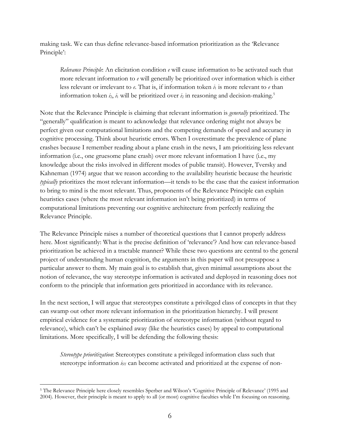making task. We can thus define relevance-based information prioritization as the 'Relevance Principle':

*Relevance Principle*: An elicitation condition *e* will cause information to be activated such that more relevant information to *e* will generally be prioritized over information which is either less relevant or irrelevant to  $e$ . That is, if information token  $i_1$  is more relevant to  $e$  than information token  $i_2$ ,  $i_1$  will be prioritized over  $i_2$  in reasoning and decision-making.<sup>5</sup>

Note that the Relevance Principle is claiming that relevant information is *generally* prioritized. The "generally" qualification is meant to acknowledge that relevance ordering might not always be perfect given our computational limitations and the competing demands of speed and accuracy in cognitive processing. Think about heuristic errors. When I overestimate the prevalence of plane crashes because I remember reading about a plane crash in the news, I am prioritizing less relevant information (i.e., one gruesome plane crash) over more relevant information I have (i.e., my knowledge about the risks involved in different modes of public transit). However, Tversky and Kahneman (1974) argue that we reason according to the availability heuristic because the heuristic *typically* prioritizes the most relevant information—it tends to be the case that the easiest information to bring to mind is the most relevant. Thus, proponents of the Relevance Principle can explain heuristics cases (where the most relevant information isn't being prioritized) in terms of computational limitations preventing our cognitive architecture from perfectly realizing the Relevance Principle.

The Relevance Principle raises a number of theoretical questions that I cannot properly address here. Most significantly: What is the precise definition of 'relevance'? And how can relevance-based prioritization be achieved in a tractable manner? While these two questions are central to the general project of understanding human cognition, the arguments in this paper will not presuppose a particular answer to them. My main goal is to establish that, given minimal assumptions about the notion of relevance, the way stereotype information is activated and deployed in reasoning does not conform to the principle that information gets prioritized in accordance with its relevance.

In the next section, I will argue that stereotypes constitute a privileged class of concepts in that they can swamp out other more relevant information in the prioritization hierarchy. I will present empirical evidence for a systematic prioritization of stereotype information (without regard to relevance), which can't be explained away (like the heuristics cases) by appeal to computational limitations. More specifically, I will be defending the following thesis:

*Stereotype prioritization*: Stereotypes constitute a privileged information class such that stereotype information  $i_{ST}$  can become activated and prioritized at the expense of non-

<sup>5</sup> The Relevance Principle here closely resembles Sperber and Wilson's 'Cognitive Principle of Relevance' (1995 and 2004). However, their principle is meant to apply to all (or most) cognitive faculties while I'm focusing on reasoning.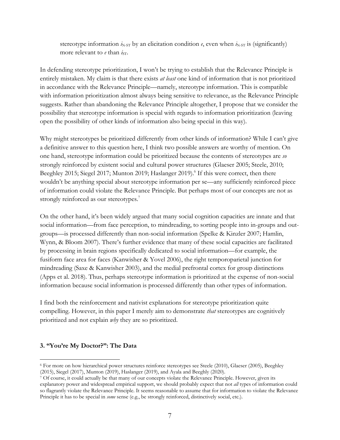stereotype information  $i_{N-ST}$  by an elicitation condition  $e$ , even when  $i_{N-ST}$  is (significantly) more relevant to  $e$  than  $i_{ST}$ .

In defending stereotype prioritization, I won't be trying to establish that the Relevance Principle is entirely mistaken. My claim is that there exists *at least* one kind of information that is not prioritized in accordance with the Relevance Principle—namely, stereotype information. This is compatible with information prioritization almost always being sensitive to relevance, as the Relevance Principle suggests. Rather than abandoning the Relevance Principle altogether, I propose that we consider the possibility that stereotype information is special with regards to information prioritization (leaving open the possibility of other kinds of information also being special in this way).

Why might stereotypes be prioritized differently from other kinds of information? While I can't give a definitive answer to this question here, I think two possible answers are worthy of mention. On one hand, stereotype information could be prioritized because the contents of stereotypes are *so* strongly reinforced by existent social and cultural power structures (Glaeser 2005; Steele, 2010; Beeghley 2015; Siegel 2017; Munton 2019; Haslanger 2019). <sup>6</sup> If this were correct, then there wouldn't be anything special about stereotype information per se—any sufficiently reinforced piece of information could violate the Relevance Principle. But perhaps most of our concepts are not as strongly reinforced as our stereotypes.<sup>7</sup>

On the other hand, it's been widely argued that many social cognition capacities are innate and that social information—from face perception, to mindreading, to sorting people into in-groups and outgroups—is processed differently than non-social information (Spelke & Kinzler 2007; Hamlin, Wynn, & Bloom 2007). There's further evidence that many of these social capacities are facilitated by processing in brain regions specifically dedicated to social information—for example, the fusiform face area for faces (Kanwisher & Yovel 2006), the right temporoparietal junction for mindreading (Saxe & Kanwisher 2003), and the medial prefrontal cortex for group distinctions (Apps et al. 2018). Thus, perhaps stereotype information is prioritized at the expense of non-social information because social information is processed differently than other types of information.

I find both the reinforcement and nativist explanations for stereotype prioritization quite compelling. However, in this paper I merely aim to demonstrate *that* stereotypes are cognitively prioritized and not explain *why* they are so prioritized.

#### **3. "You're My Doctor?": The Data**

<sup>6</sup> For more on how hierarchical power structures reinforce stereotypes see Steele (2010), Glaeser (2005), Beeghley (2015), Siegel (2017), Munton (2019), Haslanger (2019), and Ayala and Beeghly (2020).

<sup>7</sup> Of course, it could actually be that many of our concepts violate the Relevance Principle. However, given its explanatory power and widespread empirical support, we should probably expect that not *all* types of information could so flagrantly violate the Relevance Principle. It seems reasonable to assume that for information to violate the Relevance Principle it has to be special in *some* sense (e.g., be strongly reinforced, distinctively social, etc.).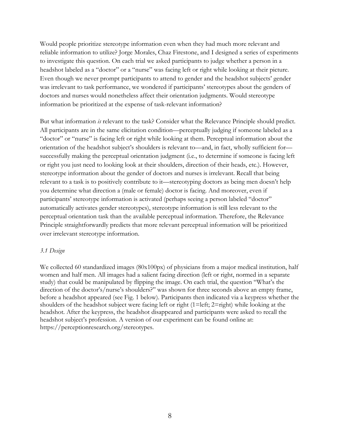Would people prioritize stereotype information even when they had much more relevant and reliable information to utilize? Jorge Morales, Chaz Firestone, and I designed a series of experiments to investigate this question. On each trial we asked participants to judge whether a person in a headshot labeled as a "doctor" or a "nurse" was facing left or right while looking at their picture. Even though we never prompt participants to attend to gender and the headshot subjects' gender was irrelevant to task performance, we wondered if participants' stereotypes about the genders of doctors and nurses would nonetheless affect their orientation judgments. Would stereotype information be prioritized at the expense of task-relevant information?

But what information *is* relevant to the task? Consider what the Relevance Principle should predict. All participants are in the same elicitation condition—perceptually judging if someone labeled as a "doctor" or "nurse" is facing left or right while looking at them. Perceptual information about the orientation of the headshot subject's shoulders is relevant to—and, in fact, wholly sufficient for successfully making the perceptual orientation judgment (i.e., to determine if someone is facing left or right you just need to looking look at their shoulders, direction of their heads, etc.). However, stereotype information about the gender of doctors and nurses is irrelevant. Recall that being relevant to a task is to positively contribute to it—stereotyping doctors as being men doesn't help you determine what direction a (male or female) doctor is facing. And moreover, even if participants' stereotype information is activated (perhaps seeing a person labeled "doctor" automatically activates gender stereotypes), stereotype information is still less relevant to the perceptual orientation task than the available perceptual information. Therefore, the Relevance Principle straightforwardly predicts that more relevant perceptual information will be prioritized over irrelevant stereotype information.

#### *3.1 Design*

We collected 60 standardized images (80x100px) of physicians from a major medical institution, half women and half men. All images had a salient facing direction (left or right, normed in a separate study) that could be manipulated by flipping the image. On each trial, the question "What's the direction of the doctor's/nurse's shoulders?" was shown for three seconds above an empty frame, before a headshot appeared (see Fig. 1 below). Participants then indicated via a keypress whether the shoulders of the headshot subject were facing left or right (1=left; 2=right) while looking at the headshot. After the keypress, the headshot disappeared and participants were asked to recall the headshot subject's profession. A version of our experiment can be found online at: https://perceptionresearch.org/stereotypes.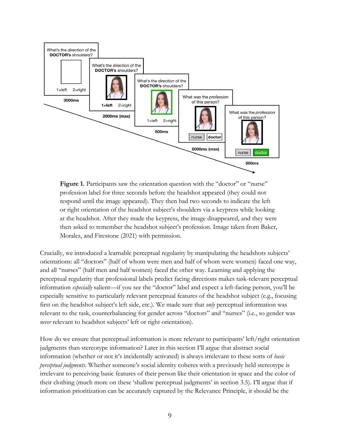

**Figure 1.** Participants saw the orientation question with the "doctor" or "nurse" profession label for three seconds before the headshot appeared (they could not respond until the image appeared). They then had two seconds to indicate the left or right orientation of the headshot subject's shoulders via a keypress while looking at the headshot. After they made the keypress, the image disappeared, and they were then asked to remember the headshot subject's profession. Image taken from Baker, Morales, and Firestone (2021) with permission.

Crucially, we introduced a learnable perceptual regularity by manipulating the headshots subjects' orientations: all "doctors" (half of whom were men and half of whom were women) faced one way, and all "nurses" (half men and half women) faced the other way. Learning and applying the perceptual regularity that professional labels predict facing directions makes task-relevant perceptual information *especially* salient—if you see the "doctor" label and expect a left-facing person, you'll be especially sensitive to particularly relevant perceptual features of the headshot subject (e.g., focusing first on the headshot subject's left side, etc.). We made sure that *only* perceptual information was relevant to the task, counterbalancing for gender across "doctors" and "nurses" (i.e., so gender was *never* relevant to headshot subjects' left or right orientation).

How do we ensure that perceptual information is more relevant to participants' left/right orientation judgments than stereotype information? Later in this section I'll argue that abstract social information (whether or not it's incidentally activated) is always irrelevant to these sorts of *basic perceptual judgments*. Whether someone's social identity coheres with a previously held stereotype is irrelevant to perceiving basic features of their person like their orientation in space and the color of their clothing (much more on these 'shallow perceptual judgments' in section 3.5). I'll argue that if information prioritization can be accurately captured by the Relevance Principle, it should be the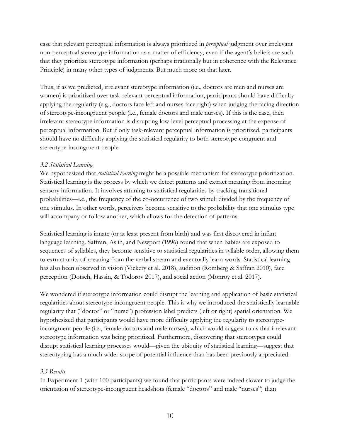case that relevant perceptual information is always prioritized in *perceptual* judgment over irrelevant non-perceptual stereotype information as a matter of efficiency, even if the agent's beliefs are such that they prioritize stereotype information (perhaps irrationally but in coherence with the Relevance Principle) in many other types of judgments. But much more on that later.

Thus, if as we predicted, irrelevant stereotype information (i.e., doctors are men and nurses are women) is prioritized over task-relevant perceptual information, participants should have difficulty applying the regularity (e.g., doctors face left and nurses face right) when judging the facing direction of stereotype-incongruent people (i.e., female doctors and male nurses). If this is the case, then irrelevant stereotype information is disrupting low-level perceptual processing at the expense of perceptual information. But if only task-relevant perceptual information is prioritized, participants should have no difficulty applying the statistical regularity to both stereotype-congruent and stereotype-incongruent people.

## *3.2 Statistical Learning*

We hypothesized that *statistical learning* might be a possible mechanism for stereotype prioritization. Statistical learning is the process by which we detect patterns and extract meaning from incoming sensory information. It involves attuning to statistical regularities by tracking transitional probabilities—i.e., the frequency of the co-occurrence of two stimuli divided by the frequency of one stimulus. In other words, perceivers become sensitive to the probability that one stimulus type will accompany or follow another, which allows for the detection of patterns.

Statistical learning is innate (or at least present from birth) and was first discovered in infant language learning. Saffran, Aslin, and Newport (1996) found that when babies are exposed to sequences of syllables, they become sensitive to statistical regularities in syllable order, allowing them to extract units of meaning from the verbal stream and eventually learn words. Statistical learning has also been observed in vision (Vickery et al. 2018), audition (Romberg & Saffran 2010), face perception (Dotsch, Hassin, & Todorov 2017), and social action (Monroy et al. 2017).

We wondered if stereotype information could disrupt the learning and application of basic statistical regularities about stereotype-incongruent people. This is why we introduced the statistically learnable regularity that ("doctor" or "nurse") profession label predicts (left or right) spatial orientation. We hypothesized that participants would have more difficulty applying the regularity to stereotypeincongruent people (i.e., female doctors and male nurses), which would suggest to us that irrelevant stereotype information was being prioritized. Furthermore, discovering that stereotypes could disrupt statistical learning processes would—given the ubiquity of statistical learning—suggest that stereotyping has a much wider scope of potential influence than has been previously appreciated.

#### *3.3 Results*

In Experiment 1 (with 100 participants) we found that participants were indeed slower to judge the orientation of stereotype-incongruent headshots (female "doctors" and male "nurses") than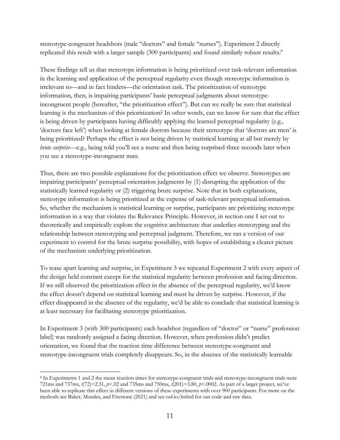stereotype-congruent headshots (male "doctors" and female "nurses"). Experiment 2 directly replicated this result with a larger sample (300 participants) and found similarly robust results.<sup>8</sup>

These findings tell us that stereotype information is being prioritized over task-relevant information in the learning and application of the perceptual regularity even though stereotype information is irrelevant to—and in fact hinders—the orientation task. The prioritization of stereotype information, then, is impairing participants' basic perceptual judgments about stereotypeincongruent people (hereafter, "the prioritization effect"). But can we really be sure that statistical learning is the mechanism of this prioritization? In other words, can we know for sure that the effect is being driven by participants having difficultly applying the learned perceptual regularity (e.g., 'doctors face left') when looking at female doctors because their stereotype that 'doctors are men' is being prioritized? Perhaps the effect is not being driven by statistical learning at all but merely by *brute surprise*—e.g., being told you'll see a nurse and then being surprised three seconds later when you see a stereotype-incongruent man.

Thus, there are two possible explanations for the prioritization effect we observe. Stereotypes are impairing participants' perceptual orientation judgments by (1) disrupting the application of the statistically learned regularity or (2) triggering brute surprise. Note that in both explanations, stereotype information is being prioritized at the expense of task-relevant perceptual information. So, whether the mechanism is statistical learning or surprise, participants are prioritizing stereotype information in a way that violates the Relevance Principle. However, in section one I set out to theoretically and empirically explore the cognitive architecture that underlies stereotyping and the relationship between stereotyping and perceptual judgment. Therefore, we ran a version of our experiment to control for the brute surprise possibility, with hopes of establishing a clearer picture of the mechanism underlying prioritization.

To tease apart learning and surprise, in Experiment 3 we repeated Experiment 2 with every aspect of the design held constant except for the statistical regularity between profession and facing direction. If we still observed the prioritization effect in the absence of the perceptual regularity, we'd know the effect doesn't depend on statistical learning and must be driven by surprise. However, if the effect disappeared in the absence of the regularity, we'd be able to conclude that statistical learning is at least necessary for facilitating stereotype prioritization.

In Experiment 3 (with 300 participants) each headshot (regardless of "doctor" or "nurse" profession label) was randomly assigned a facing direction. However, when profession didn't predict orientation, we found that the reaction time difference between stereotype-congruent and stereotype-incongruent trials completely disappears. So, in the absence of the statistically learnable

<sup>8</sup> In Experiments 1 and 2 the mean reaction times for stereotype-congruent trials and stereotype-incongruent trials were 721ms and 737ms, *t*(72)=2.31, *p*<.02 and 735ms and 750ms, *t*(201)=3.80, *p*<.0002. As part of a larger project, we've been able to replicate this effect in different versions of these experiments with over 900 participants. For more on the methods see Baker, Morales, and Firestone (2021) and see osf.io/6nhrd for our code and raw data.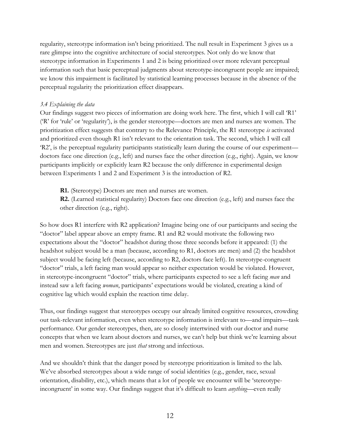regularity, stereotype information isn't being prioritized. The null result in Experiment 3 gives us a rare glimpse into the cognitive architecture of social stereotypes. Not only do we know that stereotype information in Experiments 1 and 2 is being prioritized over more relevant perceptual information such that basic perceptual judgments about stereotype-incongruent people are impaired; we know this impairment is facilitated by statistical learning processes because in the absence of the perceptual regularity the prioritization effect disappears.

## *3.4 Explaining the data*

Our findings suggest two pieces of information are doing work here. The first, which I will call 'R1' ('R' for 'rule' or 'regularity'), is the gender stereotype—doctors are men and nurses are women. The prioritization effect suggests that contrary to the Relevance Principle, the R1 stereotype *is* activated and prioritized even though R1 isn't relevant to the orientation task. The second, which I will call 'R2', is the perceptual regularity participants statistically learn during the course of our experiment doctors face one direction (e.g., left) and nurses face the other direction (e.g., right). Again, we know participants implicitly or explicitly learn R2 because the only difference in experimental design between Experiments 1 and 2 and Experiment 3 is the introduction of R2.

**R1.** (Stereotype) Doctors are men and nurses are women.

**R2.** (Learned statistical regularity) Doctors face one direction (e.g., left) and nurses face the other direction (e.g., right).

So how does R1 interfere with R2 application? Imagine being one of our participants and seeing the "doctor" label appear above an empty frame. R1 and R2 would motivate the following two expectations about the "doctor" headshot during those three seconds before it appeared: (1) the headshot subject would be a man (because, according to R1, doctors are men) and (2) the headshot subject would be facing left (because, according to R2, doctors face left). In stereotype-congruent "doctor" trials, a left facing man would appear so neither expectation would be violated. However, in stereotype-incongruent "doctor" trials, where participants expected to see a left facing *man* and instead saw a left facing *woman*, participants' expectations would be violated, creating a kind of cognitive lag which would explain the reaction time delay.

Thus, our findings suggest that stereotypes occupy our already limited cognitive resources, crowding out task-relevant information, even when stereotype information is irrelevant to—and impairs—task performance. Our gender stereotypes, then, are so closely intertwined with our doctor and nurse concepts that when we learn about doctors and nurses, we can't help but think we're learning about men and women. Stereotypes are just *that* strong and infectious.

And we shouldn't think that the danger posed by stereotype prioritization is limited to the lab. We've absorbed stereotypes about a wide range of social identities (e.g., gender, race, sexual orientation, disability, etc.), which means that a lot of people we encounter will be 'stereotypeincongruent' in some way. Our findings suggest that it's difficult to learn *anything*—even really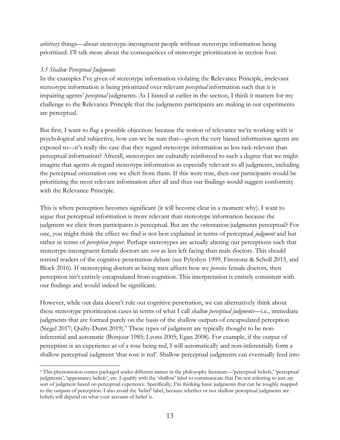*arbitrary* things—about stereotype-incongruent people without stereotype information being prioritized. I'll talk more about the consequences of stereotype prioritization in section four.

# *3.5 Shallow Perceptual Judgments*

In the examples I've given of stereotype information violating the Relevance Principle, irrelevant stereotype information is being prioritized over relevant *perceptual* information such that it is impairing agents' *perceptual* judgments. As I hinted at earlier in the section, I think it matters for my challenge to the Relevance Principle that the judgments participants are making in our experiments are perceptual.

But first, I want to flag a possible objection: because the notion of relevance we're working with is psychological and subjective, how can we be sure that—given the very biased information agents are exposed to—it's really the case that they regard stereotype information as less task-relevant than perceptual information? Afterall, stereotypes are culturally reinforced to such a degree that we might imagine that agents *do* regard stereotype information as especially relevant to all judgments, including the perceptual orientation one we elicit from them. If this were true, then our participants would be prioritizing the most relevant information after all and thus our findings would suggest conformity with the Relevance Principle.

This is where perception becomes significant (it will become clear in a moment why). I want to argue that perceptual information is more relevant than stereotype information because the judgment we elicit from participants is perceptual. But are the orientation judgments perceptual? For one, you might think the effect we find is not best explained in terms of perceptual *judgment* and but rather in terms of *perception proper*. Perhaps stereotypes are actually altering our perceptions such that stereotype-incongruent female doctors are *seen* as less left facing than male doctors. This should remind readers of the cognitive penetration debate (see Pylyshyn 1999, Firestone & Scholl 2015, and Block 2016). If stereotyping doctors as being men affects how we *perceive* female doctors, then perception isn't entirely encapsulated from cognition. This interpretation is entirely consistent with our findings and would indeed be significant.

However, while our data doesn't rule out cognitive penetration, we can alternatively think about these stereotype prioritization cases in terms of what I call *shallow perceptual judgments*—i.e., immediate judgments that are formed purely on the basis of the shallow outputs of encapsulated perception (Siegel 2017; Quilty-Dunn 2019). $^9$  These types of judgment are typically thought to be noninferential and automatic (Bonjour 1985; Lyons 2005; Egan 2008). For example, if the output of perception is an experience as of a rose being red, I will automatically and non-inferentially form a shallow perceptual judgment 'that rose is red'. Shallow perceptual judgments can eventually feed into

<sup>9</sup> This phenomenon comes packaged under different names in the philosophy literature—'perceptual beliefs,' 'perceptual judgments', 'appearance beliefs', etc. I qualify with the 'shallow' label to communicate that I'm not referring to just *any* sort of judgment based on perceptual experience. Specifically, I'm thinking basic judgments that can be roughly mapped to the outputs of perception. I also avoid the 'belief' label, because whether or not shallow perceptual judgments are beliefs will depend on what your account of belief is.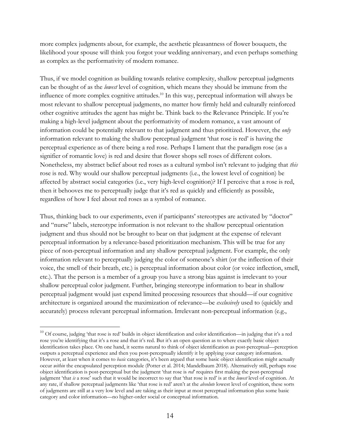more complex judgments about, for example, the aesthetic pleasantness of flower bouquets, the likelihood your spouse will think you forgot your wedding anniversary, and even perhaps something as complex as the performativity of modern romance.

Thus, if we model cognition as building towards relative complexity, shallow perceptual judgments can be thought of as the *lowest* level of cognition, which means they should be immune from the influence of more complex cognitive attitudes.<sup>10</sup> In this way, perceptual information will always be most relevant to shallow perceptual judgments, no matter how firmly held and culturally reinforced other cognitive attitudes the agent has might be. Think back to the Relevance Principle. If you're making a high-level judgment about the performativity of modern romance, a vast amount of information could be potentially relevant to that judgment and thus prioritized. However, the *only* information relevant to making the shallow perceptual judgment 'that rose is red' is having the perceptual experience as of there being a red rose. Perhaps I lament that the paradigm rose (as a signifier of romantic love) is red and desire that flower shops sell roses of different colors. Nonetheless, my abstract belief about red roses as a cultural symbol isn't relevant to judging that *this* rose is red. Why would our shallow perceptual judgments (i.e., the lowest level of cognition) be affected by abstract social categories (i.e., very high-level cognition)? If I perceive that a rose is red, then it behooves me to perceptually judge that it's red as quickly and efficiently as possible, regardless of how I feel about red roses as a symbol of romance.

Thus, thinking back to our experiments, even if participants' stereotypes are activated by "doctor" and "nurse" labels, stereotype information is not relevant to the shallow perceptual orientation judgment and thus should not be brought to bear on that judgment at the expense of relevant perceptual information by a relevance-based prioritization mechanism. This will be true for any piece of non-perceptual information and any shallow perceptual judgment. For example, the only information relevant to perceptually judging the color of someone's shirt (or the inflection of their voice, the smell of their breath, etc.) is perceptual information about color (or voice inflection, smell, etc.). That the person is a member of a group you have a strong bias against is irrelevant to your shallow perceptual color judgment. Further, bringing stereotype information to bear in shallow perceptual judgment would just expend limited processing resources that should—if our cognitive architecture is organized around the maximization of relevance—be *exclusively* used to (quickly and accurately) process relevant perceptual information. Irrelevant non-perceptual information (e.g.,

 $10$  Of course, judging 'that rose is red' builds in object identification and color identification—in judging that it's a red rose you're identifying that it's a rose and that it's red. But it's an open question as to where exactly basic object identification takes place. On one hand, it seems natural to think of object identification as post-perceptual—perception outputs a perceptual experience and then you post-perceptually identify it by applying your category information. However, at least when it comes to *basic* categories, it's been argued that some basic object identification might actually occur *within* the encapsulated perception module (Potter et al. 2014; Mandelbaum 2018). Alternatively still, perhaps rose object identification is post-perceptual but the judgment 'that rose is *red*' requires first making the post-perceptual judgment 'that *is* a rose' such that it would be incorrect to say that 'that rose is red' is at the *lowest* level of cognition. At any rate, if shallow perceptual judgments like 'that rose is red' aren't at the *absolute* lowest level of cognition, these sorts of judgments are still at a very low level and are taking as their input at most perceptual information plus some basic category and color information—no higher-order social or conceptual information.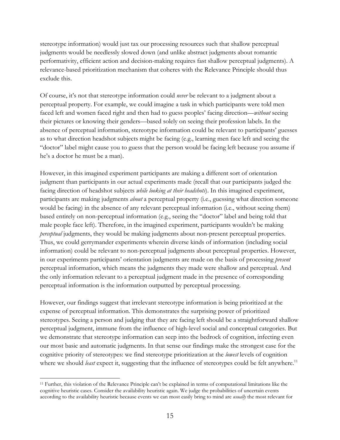stereotype information) would just tax our processing resources such that shallow perceptual judgments would be needlessly slowed down (and unlike abstract judgments about romantic performativity, efficient action and decision-making requires fast shallow perceptual judgments). A relevance-based prioritization mechanism that coheres with the Relevance Principle should thus exclude this.

Of course, it's not that stereotype information could *never* be relevant to a judgment about a perceptual property. For example, we could imagine a task in which participants were told men faced left and women faced right and then had to guess peoples' facing direction—*without* seeing their pictures or knowing their genders—based solely on seeing their profession labels. In the absence of perceptual information, stereotype information could be relevant to participants' guesses as to what direction headshot subjects might be facing (e.g., learning men face left and seeing the "doctor" label might cause you to guess that the person would be facing left because you assume if he's a doctor he must be a man).

However, in this imagined experiment participants are making a different sort of orientation judgment than participants in our actual experiments made (recall that our participants judged the facing direction of headshot subjects *while looking at their headshots*). In this imagined experiment, participants are making judgments *about* a perceptual property (i.e., guessing what direction someone would be facing) in the absence of any relevant perceptual information (i.e., without seeing them) based entirely on non-perceptual information (e.g., seeing the "doctor" label and being told that male people face left). Therefore, in the imagined experiment, participants wouldn't be making *perceptual* judgments, they would be making judgments about non-present perceptual properties. Thus, we could gerrymander experiments wherein diverse kinds of information (including social information) could be relevant to non-perceptual judgments about perceptual properties. However, in our experiments participants' orientation judgments are made on the basis of processing *present* perceptual information, which means the judgments they made were shallow and perceptual. And the only information relevant to a perceptual judgment made in the presence of corresponding perceptual information is the information outputted by perceptual processing.

However, our findings suggest that irrelevant stereotype information is being prioritized at the expense of perceptual information. This demonstrates the surprising power of prioritized stereotypes. Seeing a person and judging that they are facing left should be a straightforward shallow perceptual judgment, immune from the influence of high-level social and conceptual categories. But we demonstrate that stereotype information can seep into the bedrock of cognition, infecting even our most basic and automatic judgments. In that sense our findings make the strongest case for the cognitive priority of stereotypes: we find stereotype prioritization at the *lowest* levels of cognition where we should *least* expect it, suggesting that the influence of stereotypes could be felt anywhere.<sup>11</sup>

<sup>11</sup> Further, this violation of the Relevance Principle can't be explained in terms of computational limitations like the cognitive heuristic cases. Consider the availability heuristic again. We judge the probabilities of uncertain events according to the availability heuristic because events we can most easily bring to mind are *usually* the most relevant for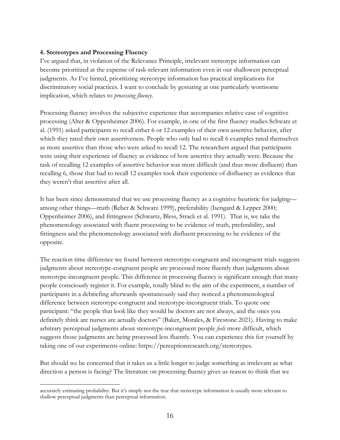## **4. Stereotypes and Processing Fluency**

I've argued that, in violation of the Relevance Principle, irrelevant stereotype information can become prioritized at the expense of task-relevant information even in our shallowest perceptual judgments. As I've hinted, prioritizing stereotype information has practical implications for discriminatory social practices. I want to conclude by gesturing at one particularly worrisome implication, which relates to *processing fluency*.

Processing fluency involves the subjective experience that accompanies relative ease of cognitive processing (Alter & Oppenheimer 2006). For example, in one of the first fluency studies Schwatz et al. (1991) asked participants to recall either 6 or 12 examples of their own assertive behavior, after which they rated their own assertiveness. People who only had to recall 6 examples rated themselves as more assertive than those who were asked to recall 12. The researchers argued that participants were using their experience of fluency as evidence of how assertive they actually were. Because the task of recalling 12 examples of assertive behavior was more difficult (and thus more disfluent) than recalling 6, those that had to recall 12 examples took their experience of disfluency as evidence that they weren't that assertive after all.

It has been since demonstrated that we use processing fluency as a cognitive heuristic for judging among other things—truth (Reber & Schwarz 1999), preferability (Isengard & Lepper 2000; Oppenheimer 2006), and fittingness (Schwartz, Bless, Strack et al. 1991). That is, we take the phenomenology associated with fluent processing to be evidence of truth, preferability, and fittingness and the phenomenology associated with disfluent processing to be evidence of the opposite.

The reaction time difference we found between stereotype-congruent and incongruent trials suggests judgments about stereotype-congruent people are processed more fluently than judgments about stereotype-incongruent people. This difference in processing fluency is significant enough that many people consciously register it. For example, totally blind to the aim of the experiment, a number of participants in a debriefing afterwards spontaneously said they noticed a phenomenological difference between stereotype-congruent and stereotype-incongruent trials. To quote one participant: "the people that look like they would be doctors are not always, and the ones you definitely think are nurses are actually doctors" (Baker, Morales, & Firestone 2021). Having to make arbitrary perceptual judgments about stereotype-incongruent people *feels* more difficult, which suggests those judgments are being processed less fluently. You can experience this for yourself by taking one of our experiments online: https://perceptionresearch.org/stereotypes.

But should we be concerned that it takes us a little longer to judge something as irrelevant as what direction a person is facing? The literature on processing fluency gives us reason to think that we

accurately estimating probability. But it's simply not the true that stereotype information is usually more relevant to shallow perceptual judgments than perceptual information.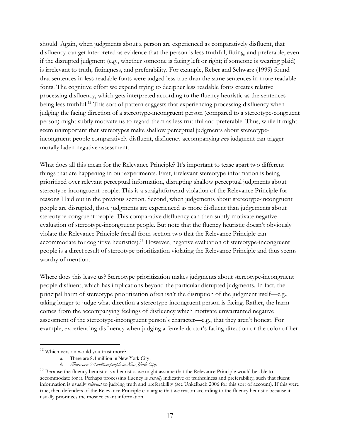should. Again, when judgments about a person are experienced as comparatively disfluent, that disfluency can get interpreted as evidence that the person is less truthful, fitting, and preferable, even if the disrupted judgment (e.g., whether someone is facing left or right; if someone is wearing plaid) is irrelevant to truth, fittingness, and preferability. For example, Reber and Schwarz (1999) found that sentences in less readable fonts were judged less true than the same sentences in more readable fonts. The cognitive effort we expend trying to decipher less readable fonts creates relative processing disfluency, which gets interpreted according to the fluency heuristic as the sentences being less truthful.<sup>12</sup> This sort of pattern suggests that experiencing processing disfluency when judging the facing direction of a stereotype-incongruent person (compared to a stereotype-congruent person) might subtly motivate us to regard them as less truthful and preferable. Thus, while it might seem unimportant that stereotypes make shallow perceptual judgments about stereotypeincongruent people comparatively disfluent, disfluency accompanying *any* judgment can trigger morally laden negative assessment.

What does all this mean for the Relevance Principle? It's important to tease apart two different things that are happening in our experiments. First, irrelevant stereotype information is being prioritized over relevant perceptual information, disrupting shallow perceptual judgments about stereotype-incongruent people. This is a straightforward violation of the Relevance Principle for reasons I laid out in the previous section. Second, when judgements about stereotype-incongruent people are disrupted, those judgments are experienced as more disfluent than judgements about stereotype-congruent people. This comparative disfluency can then subtly motivate negative evaluation of stereotype-incongruent people. But note that the fluency heuristic doesn't obviously violate the Relevance Principle (recall from section two that the Relevance Principle can accommodate for cognitive heuristics).<sup>13</sup> However, negative evaluation of stereotype-incongruent people is a direct result of stereotype prioritization violating the Relevance Principle and thus seems worthy of mention.

Where does this leave us? Stereotype prioritization makes judgments about stereotype-incongruent people disfluent, which has implications beyond the particular disrupted judgments. In fact, the principal harm of stereotype prioritization often isn't the disruption of the judgment itself—e.g., taking longer to judge what direction a stereotype-incongruent person is facing. Rather, the harm comes from the accompanying feelings of disfluency which motivate unwarranted negative assessment of the stereotype-incongruent person's character—e.g., that they aren't honest. For example, experiencing disfluency when judging a female doctor's facing direction or the color of her

<sup>&</sup>lt;sup>12</sup> Which version would you trust more?

a. There are 8.4 million in New York City.

*b. There are 8.4 million people in New York City.*

<sup>&</sup>lt;sup>13</sup> Because the fluency heuristic is a heuristic, we might assume that the Relevance Principle would be able to accommodate for it. Perhaps processing fluency is *usually* indicative of truthfulness and preferability, such that fluent information is usually *relevant* to judging truth and preferability (see Unkelbach 2006 for this sort of account). If this were true, then defenders of the Relevance Principle can argue that we reason according to the fluency heuristic because it usually prioritizes the most relevant information.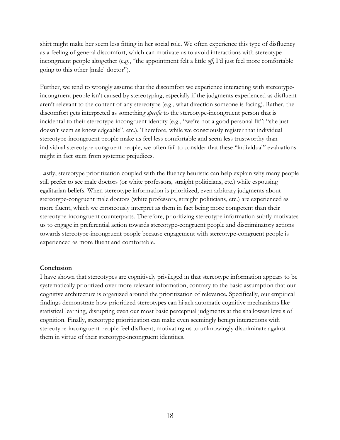shirt might make her seem less fitting in her social role. We often experience this type of disfluency as a feeling of general discomfort, which can motivate us to avoid interactions with stereotypeincongruent people altogether (e.g., "the appointment felt a little *off*, I'd just feel more comfortable going to this other [male] doctor").

Further, we tend to wrongly assume that the discomfort we experience interacting with stereotypeincongruent people isn't caused by stereotyping, especially if the judgments experienced as disfluent aren't relevant to the content of any stereotype (e.g., what direction someone is facing). Rather, the discomfort gets interpreted as something *specific* to the stereotype-incongruent person that is incidental to their stereotype-incongruent identity (e.g., "we're not a good personal fit"; "she just doesn't seem as knowledgeable", etc.). Therefore, while we consciously register that individual stereotype-incongruent people make us feel less comfortable and seem less trustworthy than individual stereotype-congruent people, we often fail to consider that these "individual" evaluations might in fact stem from systemic prejudices.

Lastly, stereotype prioritization coupled with the fluency heuristic can help explain why many people still prefer to see male doctors (or white professors, straight politicians, etc.) while espousing egalitarian beliefs. When stereotype information is prioritized, even arbitrary judgments about stereotype-congruent male doctors (white professors, straight politicians, etc.) are experienced as more fluent, which we erroneously interpret as them in fact being more competent than their stereotype-incongruent counterparts. Therefore, prioritizing stereotype information subtly motivates us to engage in preferential action towards stereotype-congruent people and discriminatory actions towards stereotype-incongruent people because engagement with stereotype-congruent people is experienced as more fluent and comfortable.

#### **Conclusion**

I have shown that stereotypes are cognitively privileged in that stereotype information appears to be systematically prioritized over more relevant information, contrary to the basic assumption that our cognitive architecture is organized around the prioritization of relevance. Specifically, our empirical findings demonstrate how prioritized stereotypes can hijack automatic cognitive mechanisms like statistical learning, disrupting even our most basic perceptual judgments at the shallowest levels of cognition. Finally, stereotype prioritization can make even seemingly benign interactions with stereotype-incongruent people feel disfluent, motivating us to unknowingly discriminate against them in virtue of their stereotype-incongruent identities.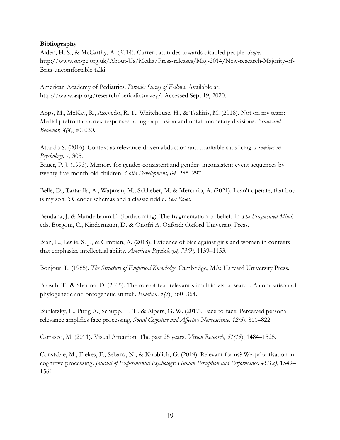#### **Bibliography**

Aiden, H. S., & McCarthy, A. (2014). Current attitudes towards disabled people. *Scope*. http://www.scope.org.uk/About-Us/Media/Press-releases/May-2014/New-research-Majority-of-Brits-uncomfortable-talki

American Academy of Pediatrics. *Periodic Survey of Fellows*. Available at: http://www.aap.org/research/periodicsurvey/. Accessed Sept 19, 2020.

Apps, M., McKay, R., Azevedo, R. T., Whitehouse, H., & Tsakiris, M. (2018). Not on my team: Medial prefrontal cortex responses to ingroup fusion and unfair monetary divisions. *Brain and Behavior, 8(8)*, e01030.

Attardo S. (2016). Context as relevance-driven abduction and charitable satisficing. *Frontiers in Psychology, 7*, 305.

Bauer, P. J. (1993). Memory for gender-consistent and gender- inconsistent event sequences by twenty-five-month-old children. *Child Development, 64*, 285–297.

Belle, D., Tartarilla, A., Wapman, M., Schlieber, M. & Mercurio, A. (2021). I can't operate, that boy is my son!": Gender schemas and a classic riddle. *Sex Roles*.

Bendana, J. & Mandelbaum E. (forthcoming). The fragmentation of belief. In *The Fragmented Mind*, eds. Borgoni, C., Kindermann, D. & Onofri A. Oxford: Oxford University Press.

Bian, L., Leslie, S.-J., & Cimpian, A. (2018). Evidence of bias against girls and women in contexts that emphasize intellectual ability. *American Psychologist, 73(9),* 1139–1153.

Bonjour, L. (1985). *The Structure of Empirical Knowledge*. Cambridge, MA: Harvard University Press.

Brosch, T., & Sharma, D. (2005). The role of fear-relevant stimuli in visual search: A comparison of phylogenetic and ontogenetic stimuli. *Emotion, 5(3*), 360–364.

Bublatzky, F., Pittig A., Schupp, H. T., & Alpers, G. W. (2017). Face-to-face: Perceived personal relevance amplifies face processing, *Social Cognitive and Affective Neuroscience, 12(5*), 811–822.

Carrasco, M. (2011). Visual Attention: The past 25 years. *Vision Research, 51(13*), 1484–1525.

Constable, M., Elekes, F., Sebanz, N., & Knoblich, G. (2019). Relevant for us? We-prioritisation in cognitive processing. *Journal of Experimental Psychology: Human Perception and Performance, 45(12)*, 1549– 1561.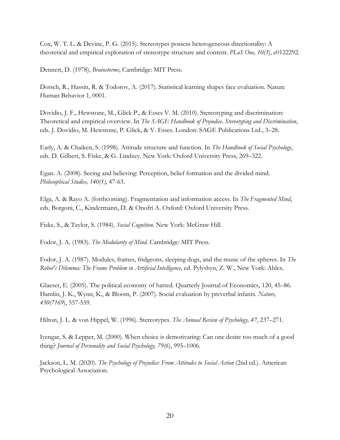Cox, W. T. L. & Devine, P. G. (2015). Stereotypes possess heterogeneous directionality: A theoretical and empirical exploration of stereotype structure and content. *PLoS One, 10(3*), e0122292.

Dennett, D. (1978), *Brainstorms*, Cambridge: MIT Press.

Dotsch, R., Hassin, R. & Todorov, A. (2017). Statistical learning shapes face evaluation. Nature Human Behavior 1, 0001.

Dovidio, J. F., Hewstone, M., Glick P., & Esses V. M. (2010). Stereotyping and discrimination: Theoretical and empirical overview. In *The SAGE Handbook of Prejudice, Stereotyping and Discrimination*, eds. J. Dovidio, M. Hewstone, P. Glick, & V. Esses. London: SAGE Publications Ltd., 3–28.

Early, A. & Chaiken, S. (1998). Attitude structure and function. In *The Handbook of Social Psychology*, eds. D. Gilbert, S. Fiske, & G. Lindzey. New York: Oxford University Press, 269–322.

Egan. A. (2008). Seeing and believing: Perception, belief formation and the divided mind. *Philosophical Studies, 140(1)*, 47-63.

Elga, A. & Rayo A. (forthcoming). Fragmentation and information access. In *The Fragmented Mind*, eds. Borgoni, C., Kindermann, D. & Onofri A. Oxford: Oxford University Press.

Fiske, S., & Taylor, S. (1984). *Social Cognition*. New York: McGraw Hill.

Fodor, J. A. (1983). *The Modularity of Mind*. Cambridge: MIT Press.

Fodor, J. A. (1987). Modules, frames, fridgeons, sleeping dogs, and the music of the spheres. In *The Robot's Dilemma: The Frame Problem in Artificial Intelligence*, ed. Pylyshyn, Z. W., New York: Ablex.

Glaeser, E. (2005). The political economy of hatred. Quarterly Journal of Economics, 120, 45–86. Hamlin, J. K., Wynn, K., & Bloom, P. (2007). Social evaluation by preverbal infants. *Nature, 450(7169*), 557-559.

Hilton, J. L. & von Hippel, W. (1996). Stereotypes. *The Annual Review of Psychology, 47*, 237–271.

Iyengar, S. & Lepper, M. (2000). When choice is demotivating: Can one desire too much of a good thing? *Journal of Personality and Social Psychology, 79(6*), 995–1006.

Jackson, L. M. (2020). *The Psychology of Prejudice: From Attitudes to Social Action* (2nd ed.). American Psychological Association.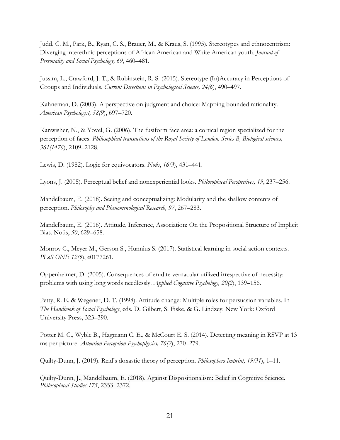Judd, C. M., Park, B., Ryan, C. S., Brauer, M., & Kraus, S. (1995). Stereotypes and ethnocentrism: Diverging interethnic perceptions of African American and White American youth. *Journal of Personality and Social Psychology, 69*, 460–481.

Jussim, L., Crawford, J. T., & Rubinstein, R. S. (2015). Stereotype (In)Accuracy in Perceptions of Groups and Individuals. *Current Directions in Psychological Science, 24(6*), 490–497.

Kahneman, D. (2003). A perspective on judgment and choice: Mapping bounded rationality. *American Psychologist, 58(9*), 697–720.

Kanwisher, N., & Yovel, G. (2006). The fusiform face area: a cortical region specialized for the perception of faces. *Philosophical transactions of the Royal Society of London. Series B, Biological sciences, 361(1476*), 2109–2128.

Lewis, D. (1982). Logic for equivocators. *Noûs*, *16(3*), 431–441.

Lyons, J. (2005). Perceptual belief and nonexperiential looks. *Philosophical Perspectives, 19*, 237–256.

Mandelbaum, E. (2018). Seeing and conceptualizing: Modularity and the shallow contents of perception. *Philosophy and Phenomenological Research, 97*, 267–283.

Mandelbaum, E. (2016). Attitude, Inference, Association: On the Propositional Structure of Implicit Bias. Noûs, *50*, 629–658.

Monroy C., Meyer M., Gerson S., Hunnius S. (2017). Statistical learning in social action contexts. *PLoS ONE 12(5*), e0177261.

Oppenheimer, D. (2005). Consequences of erudite vernacular utilized irrespective of necessity: problems with using long words needlessly. *Applied Cognitive Psychology, 20(2*), 139–156.

Petty, R. E. & Wegener, D. T. (1998). Attitude change: Multiple roles for persuasion variables. In *The Handbook of Social Psychology*, eds. D. Gilbert, S. Fiske, & G. Lindzey. New York: Oxford University Press, 323–390.

Potter M. C., Wyble B., Hagmann C. E., & McCourt E. S. (2014). Detecting meaning in RSVP at 13 ms per picture. *Attention Perception Psychophysics, 76(2*), 270–279.

Quilty-Dunn, J. (2019). Reid's doxastic theory of perception. *Philosophers Imprint, 19(31*), 1–11.

Quilty-Dunn, J., Mandelbaum, E. (2018). Against Dispositionalism: Belief in Cognitive Science. *Philosophical Studies 175*, 2353–2372.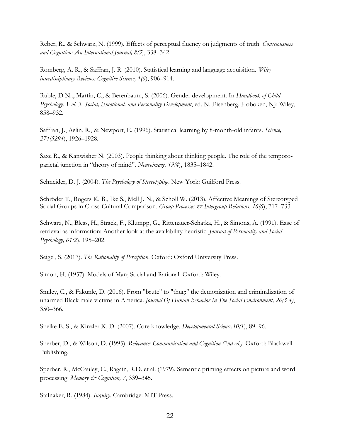Reber, R., & Schwarz, N. (1999). Effects of perceptual fluency on judgments of truth. *Consciousness and Cognition: An International Journal, 8(3*), 338–342.

Romberg, A. R., & Saffran, J. R. (2010). Statistical learning and language acquisition. *Wiley interdisciplinary Reviews: Cognitive Science, 1(6*), 906–914.

Ruble, D N.., Martin, C., & Berenbaum, S. (2006). Gender development. In *Handbook of Child Psychology: Vol. 3. Social, Emotional, and Personality Development*, ed. N. Eisenberg. Hoboken, NJ: Wiley, 858–932.

Saffran, J., Aslin, R., & Newport, E. (1996). Statistical learning by 8-month-old infants. *Science, 274(5294*), 1926–1928.

Saxe R., & Kanwisher N. (2003). People thinking about thinking people. The role of the temporoparietal junction in "theory of mind". *Neuroimage. 19(4*), 1835–1842.

Schneider, D. J. (2004). *The Psychology of Stereotyping*. New York: Guilford Press.

Schröder T., Rogers K. B., Ike S., Mell J. N., & Scholl W. (2013). Affective Meanings of Stereotyped Social Groups in Cross-Cultural Comparison. *Group Processes & Intergroup Relations*. *16(6*), 717–733.

Schwarz, N., Bless, H., Strack, F., Klumpp, G., Rittenauer-Schatka, H., & Simons, A. (1991). Ease of retrieval as information: Another look at the availability heuristic. *Journal of Personality and Social Psychology, 61(2*), 195–202.

Seigel, S. (2017). *The Rationality of Perception*. Oxford: Oxford University Press.

Simon, H. (1957). Models of Man; Social and Rational. Oxford: Wiley.

Smiley, C., & Fakunle, D. (2016). From "brute" to "thug:" the demonization and criminalization of unarmed Black male victims in America. *Journal Of Human Behavior In The Social Environment, 26(3-4)*, 350–366.

Spelke E. S., & Kinzler K. D. (2007). Core knowledge. *Developmental Science,10(1*), 89–96.

Sperber, D., & Wilson, D. (1995). *Relevance: Communication and Cognition (2nd ed.)*. Oxford: Blackwell Publishing.

Sperber, R., McCauley, C., Ragain, R.D. et al. (1979). Semantic priming effects on picture and word processing. *Memory & Cognition, 7*, 339–345.

Stalnaker, R. (1984). *Inquiry*. Cambridge: MIT Press.